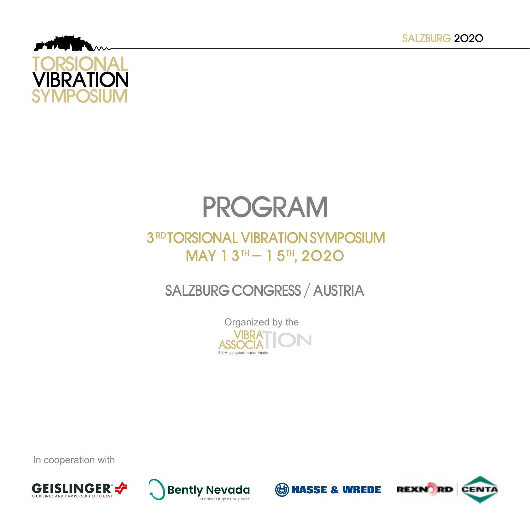

## PROGRAM

## **3RD TORSIONAL VIBRATION SYMPOSIUM**  $MAY 13^{TH} - 15^{TH}$ , 2020

## SALZBURG CONGRESS / AUSTRIA

Organized by the VIBRA<br>ASSOCIA Schwingungstechnischer Verein

In cooperation with







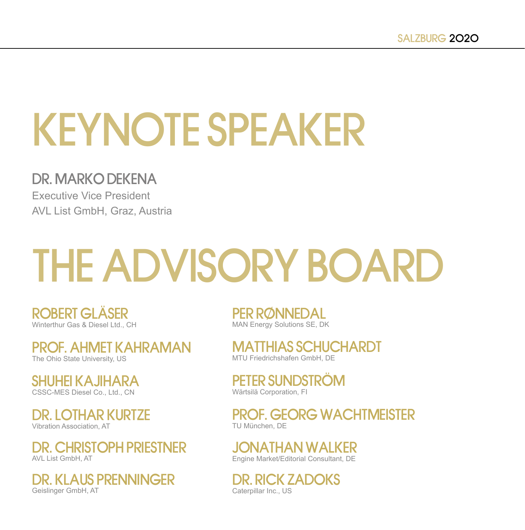## KEYNOTE SPEAKER

### DR. MARKO DEKENA

Executive Vice President AVL List GmbH, Graz, Austria

# THE ADVISORY BOARD

ROBERT GLÄSER Winterthur Gas & Diesel Ltd., CH

PROF. AHMET KAHRAMAN The Ohio State University, US

SHUHEI KAJIHARA CSSC-MES Diesel Co., Ltd., CN

DR. LOTHAR KURTZE Vibration Association, AT

DR. CHRISTOPH PRIESTNER AVL List GmbH, AT

DR. KLAUS PRENNINGER Geislinger GmbH, AT

PER RØNNEDAL MAN Energy Solutions SE, DK

MATTHIAS SCHUCHARDT MTU Friedrichshafen GmbH, DE

PETER SUNDSTRÖM Wärtsilä Corporation, FI

PROF. GEORG WACHTMEISTER TU München, DE

JONATHAN WALKER Engine Market/Editorial Consultant, DE

DR. RICK ZADOKS Caterpillar Inc., US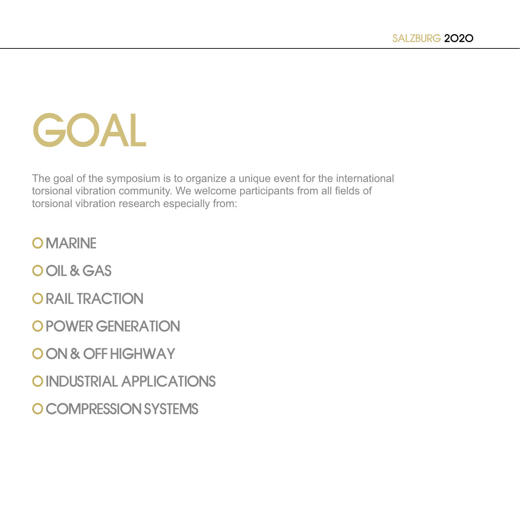## GOAL

The goal of the symposium is to organize a unique event for the international torsional vibration community. We welcome participants from all fields of torsional vibration research especially from:

O MARINE

O OIL & GAS

O RAIL TRACTION

O POWER GENERATION

O ON & OFF HIGHWAY

O INDUSTRIAL APPLICATIONS

O COMPRESSION SYSTEMS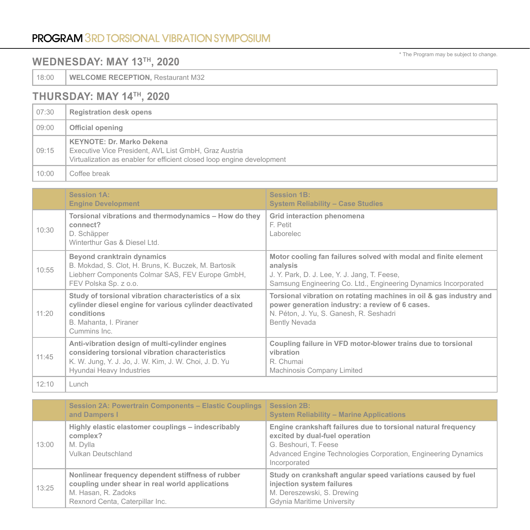#### PROGRAM 3RD TORSIONAL VIBRATION SYMPOSIUM

#### **WEDNESDAY: MAY 13TH, 2020**

18:00 **WELCOME RECEPTION, Restaurant M32** 

#### **THURSDAY: MAY 14TH, 2020**

| 07:30 | <b>Registration desk opens</b>                                                                                                                                      |
|-------|---------------------------------------------------------------------------------------------------------------------------------------------------------------------|
| 09:00 | Official opening                                                                                                                                                    |
| 09:15 | <b>KEYNOTE: Dr. Marko Dekena</b><br>Executive Vice President, AVL List GmbH, Graz Austria<br>Virtualization as enabler for efficient closed loop engine development |
| 10:00 | Coffee break                                                                                                                                                        |

|       | <b>Session 1A:</b><br><b>Engine Development</b>                                                                                                                                         | <b>Session 1B:</b><br><b>System Reliability - Case Studies</b>                                                                                                                                 |
|-------|-----------------------------------------------------------------------------------------------------------------------------------------------------------------------------------------|------------------------------------------------------------------------------------------------------------------------------------------------------------------------------------------------|
| 10:30 | Torsional vibrations and thermodynamics - How do they<br>connect?<br>D. Schäpper<br>Winterthur Gas & Diesel Ltd.                                                                        | Grid interaction phenomena<br>F. Petit<br>Laborelec                                                                                                                                            |
| 10:55 | Beyond cranktrain dynamics<br>B. Mokdad, S. Clot, H. Bruns, K. Buczek, M. Bartosik<br>Liebherr Components Colmar SAS, FEV Europe GmbH,<br>FEV Polska Sp. z o.o.                         | Motor cooling fan failures solved with modal and finite element<br>analysis<br>J. Y. Park, D. J. Lee, Y. J. Jang, T. Feese,<br>Samsung Engineering Co. Ltd., Engineering Dynamics Incorporated |
| 11:20 | Study of torsional vibration characteristics of a six<br>cylinder diesel engine for various cylinder deactivated<br>conditions<br>B. Mahanta, I. Piraner<br>Cummins Inc.                | Torsional vibration on rotating machines in oil & gas industry and<br>power generation industry: a review of 6 cases.<br>N. Péton, J. Yu, S. Ganesh, R. Seshadri<br><b>Bently Nevada</b>       |
| 11:45 | Anti-vibration design of multi-cylinder engines<br>considering torsional vibration characteristics<br>K. W. Jung, Y. J. Jo, J. W. Kim, J. W. Choi, J. D. Yu<br>Hyundai Heavy Industries | Coupling failure in VFD motor-blower trains due to torsional<br>vibration<br>R. Chumai<br>Machinosis Company Limited                                                                           |
| 12:10 | Lunch                                                                                                                                                                                   |                                                                                                                                                                                                |

|       | Session 2A: Powertrain Components - Elastic Couplings   Session 2B:<br>and Dampers I                                                                           | <b>System Reliability - Marine Applications</b>                                                                                                                                                            |
|-------|----------------------------------------------------------------------------------------------------------------------------------------------------------------|------------------------------------------------------------------------------------------------------------------------------------------------------------------------------------------------------------|
| 13:00 | Highly elastic elastomer couplings - indescribably<br>complex?<br>M. Dylla<br>Vulkan Deutschland                                                               | Engine crankshaft failures due to torsional natural frequency<br>excited by dual-fuel operation<br>G. Beshouri, T. Feese<br>Advanced Engine Technologies Corporation, Engineering Dynamics<br>Incorporated |
| 13:25 | Nonlinear frequency dependent stiffness of rubber<br>coupling under shear in real world applications<br>M. Hasan, R. Zadoks<br>Rexnord Centa, Caterpillar Inc. | Study on crankshaft angular speed variations caused by fuel<br>injection system failures<br>M. Dereszewski, S. Drewing<br>Gdynia Maritime University                                                       |

\* The Program may be subject to change.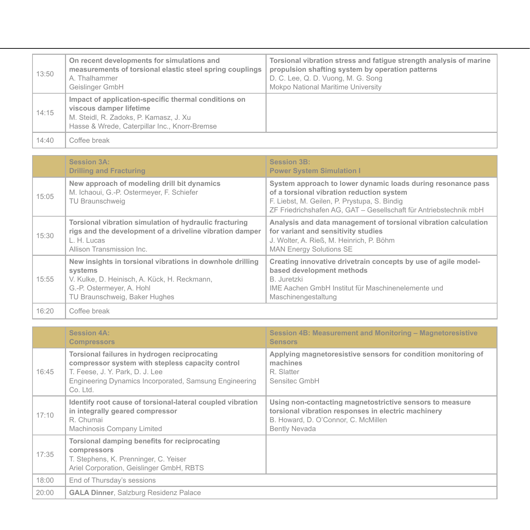| 13:50 | On recent developments for simulations and<br>measurements of torsional elastic steel spring couplings<br>A. Thalhammer<br>Geislinger GmbH                                 | Torsional vibration stress and fatigue strength analysis of marine<br>propulsion shafting system by operation patterns<br>D. C. Lee, Q. D. Vuong, M. G. Song<br>Mokpo National Maritime University |
|-------|----------------------------------------------------------------------------------------------------------------------------------------------------------------------------|----------------------------------------------------------------------------------------------------------------------------------------------------------------------------------------------------|
| 14:15 | Impact of application-specific thermal conditions on<br>viscous damper lifetime<br>M. Steidl, R. Zadoks, P. Kamasz, J. Xu<br>Hasse & Wrede, Caterpillar Inc., Knorr-Bremse |                                                                                                                                                                                                    |
| 14:40 | Coffee break                                                                                                                                                               |                                                                                                                                                                                                    |

|       | <b>Session 3A:</b><br><b>Drilling and Fracturing</b>                                                                                                                               | <b>Session 3B:</b><br><b>Power System Simulation I</b>                                                                                                                                                                         |
|-------|------------------------------------------------------------------------------------------------------------------------------------------------------------------------------------|--------------------------------------------------------------------------------------------------------------------------------------------------------------------------------------------------------------------------------|
| 15:05 | New approach of modeling drill bit dynamics<br>M. Ichaoui, G.-P. Ostermeyer, F. Schiefer<br>TU Braunschweig                                                                        | System approach to lower dynamic loads during resonance pass<br>of a torsional vibration reduction system<br>F. Liebst, M. Geilen, P. Prystupa, S. Bindig<br>ZF Friedrichshafen AG. GAT - Gesellschaft für Antriebstechnik mbH |
| 15:30 | Torsional vibration simulation of hydraulic fracturing<br>rigs and the development of a driveline vibration damper<br>L. H. Lucas<br>Allison Transmission Inc.                     | Analysis and data management of torsional vibration calculation<br>for variant and sensitivity studies<br>J. Wolter, A. Rieß, M. Heinrich, P. Böhm<br><b>MAN Energy Solutions SE</b>                                           |
| 15:55 | New insights in torsional vibrations in downhole drilling<br>systems<br>V. Kulke, D. Heinisch, A. Kück, H. Reckmann,<br>G.-P. Ostermeyer, A. Hohl<br>TU Braunschweig, Baker Hughes | Creating innovative drivetrain concepts by use of agile model-<br>based development methods<br>B. Juretzki<br>IME Aachen GmbH Institut für Maschinenelemente und<br>Maschinengestaltung                                        |
| 16:20 | Coffee break                                                                                                                                                                       |                                                                                                                                                                                                                                |

|       | <b>Session 4A:</b><br><b>Compressors</b>                                                                                                                                                                  | Session 4B: Measurement and Monitoring - Magnetoresistive<br><b>Sensors</b>                                                                                                    |
|-------|-----------------------------------------------------------------------------------------------------------------------------------------------------------------------------------------------------------|--------------------------------------------------------------------------------------------------------------------------------------------------------------------------------|
| 16:45 | Torsional failures in hydrogen reciprocating<br>compressor system with stepless capacity control<br>T. Feese, J. Y. Park, D. J. Lee<br>Engineering Dynamics Incorporated, Samsung Engineering<br>Co. Ltd. | Applying magnetoresistive sensors for condition monitoring of<br>machines<br>R. Slatter<br>Sensitec GmbH                                                                       |
| 17:10 | Identify root cause of torsional-lateral coupled vibration<br>in integrally geared compressor<br>R. Chumai<br>Machinosis Company Limited                                                                  | Using non-contacting magnetostrictive sensors to measure<br>torsional vibration responses in electric machinery<br>B. Howard, D. O'Connor, C. McMillen<br><b>Bently Nevada</b> |
| 17:35 | Torsional damping benefits for reciprocating<br>compressors<br>T. Stephens, K. Prenninger, C. Yeiser<br>Ariel Corporation, Geislinger GmbH, RBTS                                                          |                                                                                                                                                                                |
| 18:00 | End of Thursday's sessions                                                                                                                                                                                |                                                                                                                                                                                |
| 20:00 | <b>GALA Dinner, Salzburg Residenz Palace</b>                                                                                                                                                              |                                                                                                                                                                                |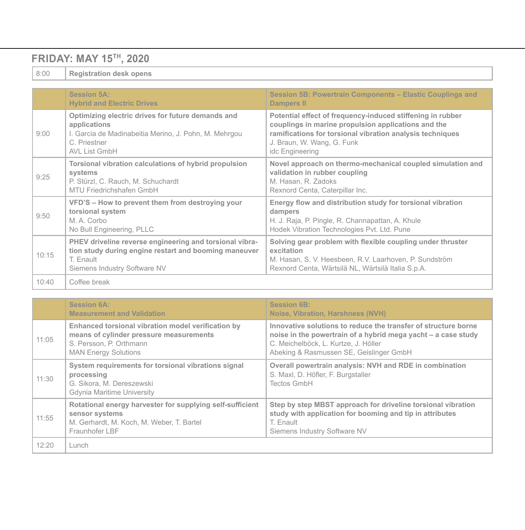#### **FRIDAY: MAY 15TH, 2020**

8:00 **Registration desk opens**

|       | Session 5A:<br><b>Hybrid and Electric Drives</b>                                                                                                              | Session 5B: Powertrain Components – Elastic Couplings and<br><b>Dampers II</b>                                                                                                                                                  |
|-------|---------------------------------------------------------------------------------------------------------------------------------------------------------------|---------------------------------------------------------------------------------------------------------------------------------------------------------------------------------------------------------------------------------|
| 9:00  | Optimizing electric drives for future demands and<br>applications<br>I. Garcia de Madinabeitia Merino, J. Pohn, M. Mehrgou<br>C. Priestner<br>AVL List GmbH   | Potential effect of frequency-induced stiffening in rubber<br>couplings in marine propulsion applications and the<br>ramifications for torsional vibration analysis techniques<br>J. Braun, W. Wang, G. Funk<br>idc Engineering |
| 9:25  | Torsional vibration calculations of hybrid propulsion<br>systems<br>P. Stürzl, C. Rauch, M. Schuchardt<br>MTU Friedrichshafen GmbH                            | Novel approach on thermo-mechanical coupled simulation and<br>validation in rubber coupling<br>M. Hasan, R. Zadoks<br>Rexnord Centa, Caterpillar Inc.                                                                           |
| 9:50  | VFD'S - How to prevent them from destroying your<br>torsional system<br>M. A. Corbo<br>No Bull Engineering, PLLC                                              | Energy flow and distribution study for torsional vibration<br>dampers<br>H. J. Raja, P. Pingle, R. Channapattan, A. Khule<br>Hodek Vibration Technologies Pvt. Ltd. Pune                                                        |
| 10:15 | PHEV driveline reverse engineering and torsional vibra-<br>tion study during engine restart and booming maneuver<br>T. Enault<br>Siemens Industry Software NV | Solving gear problem with flexible coupling under thruster<br>excitation<br>M. Hasan, S. V. Heesbeen, R.V. Laarhoven, P. Sundström<br>Rexnord Centa, Wärtsilä NL, Wärtsilä Italia S.p.A.                                        |
| 10:40 | Coffee break                                                                                                                                                  |                                                                                                                                                                                                                                 |

|       | <b>Session 6A:</b><br><b>Measurement and Validation</b>                                                                                                 | <b>Session 6B:</b><br>Noise, Vibration, Harshness (NVH)                                                                                                                                                            |
|-------|---------------------------------------------------------------------------------------------------------------------------------------------------------|--------------------------------------------------------------------------------------------------------------------------------------------------------------------------------------------------------------------|
| 11:05 | Enhanced torsional vibration model verification by<br>means of cylinder pressure measurements<br>S. Persson, P. Orthmann<br><b>MAN Energy Solutions</b> | Innovative solutions to reduce the transfer of structure borne<br>noise in the powertrain of a hybrid mega yacht - a case study<br>C. Meichelböck, L. Kurtze, J. Höller<br>Abeking & Rasmussen SE, Geislinger GmbH |
| 11:30 | System requirements for torsional vibrations signal<br>processing<br>G. Sikora, M. Dereszewski<br>Gdynia Maritime University                            | Overall powertrain analysis: NVH and RDE in combination<br>S. Maxl, D. Höfler, F. Burgstaller<br>Tectos GmbH                                                                                                       |
| 11:55 | Rotational energy harvester for supplying self-sufficient<br>sensor systems<br>M. Gerhardt, M. Koch, M. Weber, T. Bartel<br>Fraunhofer LBF              | Step by step MBST approach for driveline torsional vibration<br>study with application for booming and tip in attributes<br>T. Enault<br>Siemens Industry Software NV                                              |
| 12:20 | Lunch                                                                                                                                                   |                                                                                                                                                                                                                    |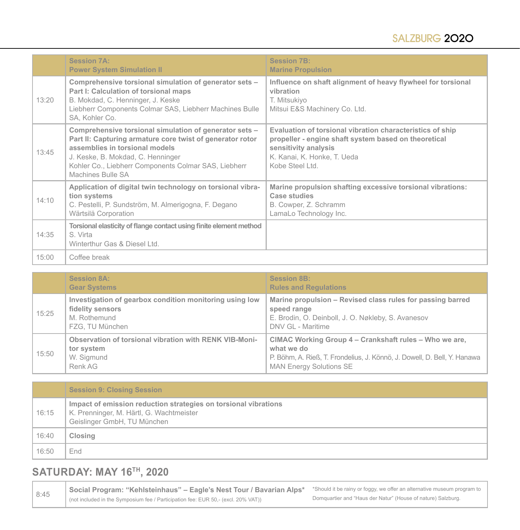|       | <b>Session 7A:</b><br><b>Power System Simulation II</b>                                                                                                                                                                                                                 | <b>Session 7B:</b><br><b>Marine Propulsion</b>                                                                                                                                             |
|-------|-------------------------------------------------------------------------------------------------------------------------------------------------------------------------------------------------------------------------------------------------------------------------|--------------------------------------------------------------------------------------------------------------------------------------------------------------------------------------------|
| 13:20 | Comprehensive torsional simulation of generator sets -<br>Part I: Calculation of torsional maps<br>B. Mokdad, C. Henninger, J. Keske<br>Liebherr Components Colmar SAS, Liebherr Machines Bulle<br>SA, Kohler Co.                                                       | Influence on shaft alignment of heavy flywheel for torsional<br>vibration<br>T. Mitsukiyo<br>Mitsui E&S Machinery Co. Ltd.                                                                 |
| 13:45 | Comprehensive torsional simulation of generator sets -<br>Part II: Capturing armature core twist of generator rotor<br>assemblies in torsional models<br>J. Keske, B. Mokdad, C. Henninger<br>Kohler Co., Liebherr Components Colmar SAS, Liebherr<br>Machines Bulle SA | Evaluation of torsional vibration characteristics of ship<br>propeller - engine shaft system based on theoretical<br>sensitivity analysis<br>K. Kanai, K. Honke, T. Ueda<br>Kobe Steel Ltd |
| 14:10 | Application of digital twin technology on torsional vibra-<br>tion systems<br>C. Pestelli, P. Sundström, M. Almerigogna, F. Degano<br>Wärtsilä Corporation                                                                                                              | Marine propulsion shafting excessive torsional vibrations:<br>Case studies<br>B. Cowper, Z. Schramm<br>LamaLo Technology Inc.                                                              |
| 14:35 | Torsional elasticity of flange contact using finite element method<br>S Virta<br>Winterthur Gas & Diesel Ltd.                                                                                                                                                           |                                                                                                                                                                                            |
| 15:00 | Coffee break                                                                                                                                                                                                                                                            |                                                                                                                                                                                            |

|       | <b>Session 8A:</b><br><b>Gear Systems</b>                                                                      | <b>Session 8B:</b><br><b>Rules and Requlations</b>                                                                                                                                 |
|-------|----------------------------------------------------------------------------------------------------------------|------------------------------------------------------------------------------------------------------------------------------------------------------------------------------------|
| 15:25 | Investigation of gearbox condition monitoring using low<br>fidelity sensors<br>M. Rothemund<br>FZG. TU München | Marine propulsion – Revised class rules for passing barred<br>speed range<br>E. Brodin, O. Deinboll, J. O. Nøkleby, S. Avanesov<br>DNV GL - Maritime                               |
| 15:50 | Observation of torsional vibration with RENK VIB-Moni-<br>tor system<br>W. Sigmund<br>Renk AG                  | CIMAC Working Group 4 – Crankshaft rules – Who we are,<br>what we do<br>P. Böhm, A. Rieß, T. Frondelius, J. Könnö, J. Dowell, D. Bell, Y. Hanawa<br><b>MAN Energy Solutions SE</b> |

|       | <b>Session 9: Closing Session</b>                                                                                                          |
|-------|--------------------------------------------------------------------------------------------------------------------------------------------|
| 16:15 | Impact of emission reduction strategies on torsional vibrations<br>K. Prenninger, M. Härtl, G. Wachtmeister<br>Geislinger GmbH, TU München |
| 16:40 | Closing                                                                                                                                    |
| 16:50 | End                                                                                                                                        |

#### **SATURDAY: MAY 16TH, 2020**

**Social Program: "Kehlsteinhaus" – Eagle's Nest Tour / Bavarian Alps<sup>\*</sup>** Should it be rainy or foggy, we offer an alternative museum program to **Savarian in the Control of the Should it be rainy** or foggy, we offer an alte (not included in the Symposium fee / Participation fee: EUR 50,- (excl. 20% VAT)) Domquartier and "Haus der Natur" (House of nature) Salzburg.